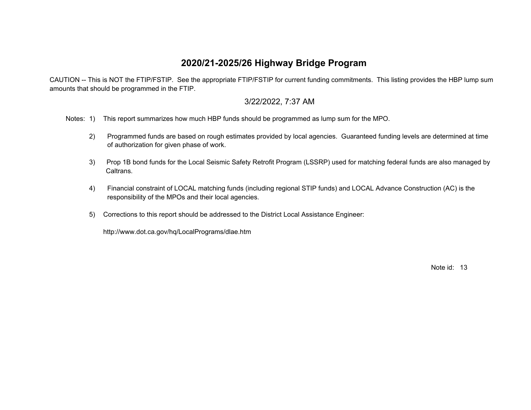## **2020/21-2025/26 Highway Bridge Program**

 CAUTION -- This is NOT the FTIP/FSTIP. See the appropriate FTIP/FSTIP for current funding commitments. This listing provides the HBP lump sum amounts that should be programmed in the FTIP.

## 3/22/2022, 7:37 AM

Notes: 1) This report summarizes how much HBP funds should be programmed as lump sum for the MPO.

- 2) Programmed funds are based on rough estimates provided by local agencies. Guaranteed funding levels are determined at time of authorization for given phase of work.
- 3) Prop 1B bond funds for the Local Seismic Safety Retrofit Program (LSSRP) used for matching federal funds are also managed by Caltrans.
- 4) Financial constraint of LOCAL matching funds (including regional STIP funds) and LOCAL Advance Construction (AC) is the responsibility of the MPOs and their local agencies.
- 5) Corrections to this report should be addressed to the District Local Assistance Engineer:

http://www.dot.ca.gov/hq/LocalPrograms/dlae.htm

Note id: 13